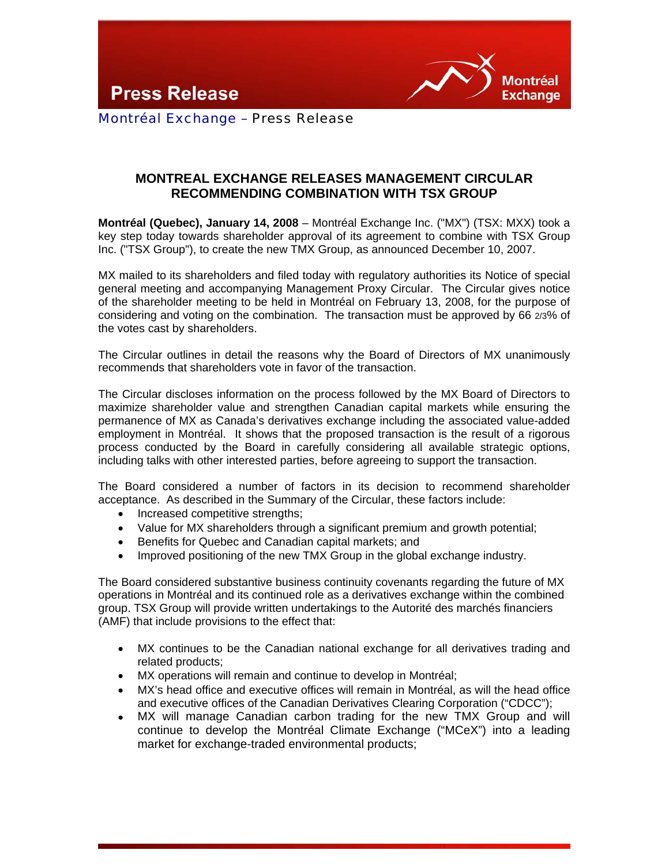**Press Release** 



Montréal Exchange – Press Release

## **MONTREAL EXCHANGE RELEASES MANAGEMENT CIRCULAR RECOMMENDING COMBINATION WITH TSX GROUP**

**Montréal (Quebec), January 14, 2008** – Montréal Exchange Inc. ("MX") (TSX: MXX) took a key step today towards shareholder approval of its agreement to combine with TSX Group Inc. ("TSX Group"), to create the new TMX Group, as announced December 10, 2007.

MX mailed to its shareholders and filed today with regulatory authorities its Notice of special general meeting and accompanying Management Proxy Circular. The Circular gives notice of the shareholder meeting to be held in Montréal on February 13, 2008, for the purpose of considering and voting on the combination. The transaction must be approved by 66 2/3% of the votes cast by shareholders.

The Circular outlines in detail the reasons why the Board of Directors of MX unanimously recommends that shareholders vote in favor of the transaction.

The Circular discloses information on the process followed by the MX Board of Directors to maximize shareholder value and strengthen Canadian capital markets while ensuring the permanence of MX as Canada's derivatives exchange including the associated value-added employment in Montréal. It shows that the proposed transaction is the result of a rigorous process conducted by the Board in carefully considering all available strategic options, including talks with other interested parties, before agreeing to support the transaction.

The Board considered a number of factors in its decision to recommend shareholder acceptance. As described in the Summary of the Circular, these factors include:

- Increased competitive strengths;
- Value for MX shareholders through a significant premium and growth potential;
- Benefits for Quebec and Canadian capital markets; and
- Improved positioning of the new TMX Group in the global exchange industry.

The Board considered substantive business continuity covenants regarding the future of MX operations in Montréal and its continued role as a derivatives exchange within the combined group. TSX Group will provide written undertakings to the Autorité des marchés financiers (AMF) that include provisions to the effect that:

- MX continues to be the Canadian national exchange for all derivatives trading and related products;
- MX operations will remain and continue to develop in Montréal;
- MX's head office and executive offices will remain in Montréal, as will the head office and executive offices of the Canadian Derivatives Clearing Corporation ("CDCC");
- MX will manage Canadian carbon trading for the new TMX Group and will continue to develop the Montréal Climate Exchange ("MCeX") into a leading market for exchange-traded environmental products;